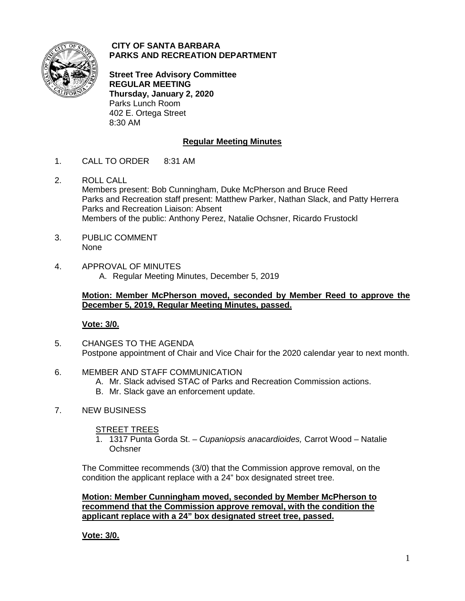

## **CITY OF SANTA BARBARA PARKS AND RECREATION DEPARTMENT**

**Street Tree Advisory Committee REGULAR MEETING Thursday, January 2, 2020** Parks Lunch Room 402 E. Ortega Street 8:30 AM

# **Regular Meeting Minutes**

- 1. CALL TO ORDER 8:31 AM
- 2. ROLL CALL Members present: Bob Cunningham, Duke McPherson and Bruce Reed Parks and Recreation staff present: Matthew Parker, Nathan Slack, and Patty Herrera Parks and Recreation Liaison: Absent Members of the public: Anthony Perez, Natalie Ochsner, Ricardo Frustockl
- 3. PUBLIC COMMENT None
- 4. APPROVAL OF MINUTES A. Regular Meeting Minutes, December 5, 2019

## **Motion: Member McPherson moved, seconded by Member Reed to approve the December 5, 2019, Regular Meeting Minutes, passed.**

## **Vote: 3/0.**

- 5. CHANGES TO THE AGENDA Postpone appointment of Chair and Vice Chair for the 2020 calendar year to next month.
- 6. MEMBER AND STAFF COMMUNICATION
	- A. Mr. Slack advised STAC of Parks and Recreation Commission actions.
	- B. Mr. Slack gave an enforcement update.
- 7. NEW BUSINESS

## **STREET TREES**

1. 1317 Punta Gorda St. – *Cupaniopsis anacardioides,* Carrot Wood – Natalie **Ochsner** 

The Committee recommends (3/0) that the Commission approve removal, on the condition the applicant replace with a 24" box designated street tree.

**Motion: Member Cunningham moved, seconded by Member McPherson to recommend that the Commission approve removal, with the condition the applicant replace with a 24" box designated street tree, passed.** 

**Vote: 3/0.**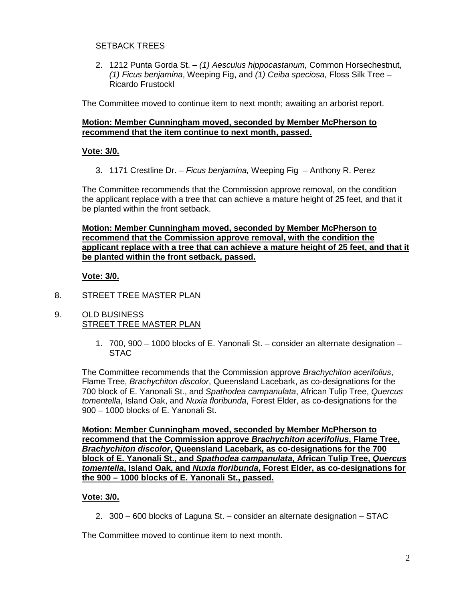## **SETBACK TREES**

2. 1212 Punta Gorda St. – *(1) Aesculus hippocastanum,* Common Horsechestnut, *(1) Ficus benjamina*, Weeping Fig, and *(1) Ceiba speciosa,* Floss Silk Tree – Ricardo Frustockl

The Committee moved to continue item to next month; awaiting an arborist report.

## **Motion: Member Cunningham moved, seconded by Member McPherson to recommend that the item continue to next month, passed.**

## **Vote: 3/0.**

3. 1171 Crestline Dr. – *Ficus benjamina,* Weeping Fig – Anthony R. Perez

The Committee recommends that the Commission approve removal, on the condition the applicant replace with a tree that can achieve a mature height of 25 feet, and that it be planted within the front setback.

**Motion: Member Cunningham moved, seconded by Member McPherson to recommend that the Commission approve removal, with the condition the applicant replace with a tree that can achieve a mature height of 25 feet, and that it be planted within the front setback, passed.**

## **Vote: 3/0.**

- 8. STREET TREE MASTER PLAN
- 9. OLD BUSINESS STREET TREE MASTER PLAN
	- 1. 700, 900 1000 blocks of E. Yanonali St. consider an alternate designation STAC

The Committee recommends that the Commission approve *Brachychiton acerifolius*, Flame Tree, *Brachychiton discolor*, Queensland Lacebark, as co-designations for the 700 block of E. Yanonali St., and *Spathodea campanulata*, African Tulip Tree, *Quercus tomentella*, Island Oak, and *Nuxia floribunda*, Forest Elder, as co-designations for the 900 – 1000 blocks of E. Yanonali St.

**Motion: Member Cunningham moved, seconded by Member McPherson to recommend that the Commission approve** *Brachychiton acerifolius***, Flame Tree,**  *Brachychiton discolor***, Queensland Lacebark, as co-designations for the 700 block of E. Yanonali St., and** *Spathodea campanulata***, African Tulip Tree,** *Quercus tomentella***, Island Oak, and** *Nuxia floribunda***, Forest Elder, as co-designations for the 900 – 1000 blocks of E. Yanonali St., passed.**

## **Vote: 3/0.**

2. 300 – 600 blocks of Laguna St. – consider an alternate designation – STAC

The Committee moved to continue item to next month.